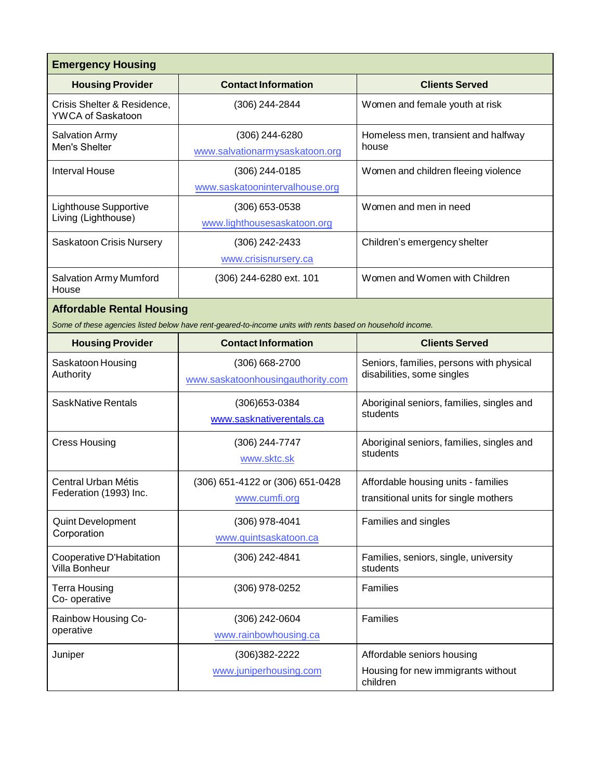| <b>Emergency Housing</b>                         |                                                                                                            |                                                                              |  |
|--------------------------------------------------|------------------------------------------------------------------------------------------------------------|------------------------------------------------------------------------------|--|
| <b>Housing Provider</b>                          | <b>Contact Information</b>                                                                                 | <b>Clients Served</b>                                                        |  |
| Crisis Shelter & Residence,<br>YWCA of Saskatoon | (306) 244-2844                                                                                             | Women and female youth at risk                                               |  |
| <b>Salvation Army</b><br>Men's Shelter           | (306) 244-6280<br>www.salvationarmysaskatoon.org                                                           | Homeless men, transient and halfway<br>house                                 |  |
| <b>Interval House</b>                            | $(306)$ 244-0185<br>www.saskatoonintervalhouse.org                                                         | Women and children fleeing violence                                          |  |
| Lighthouse Supportive<br>Living (Lighthouse)     | $(306)$ 653-0538<br>www.lighthousesaskatoon.org                                                            | Women and men in need                                                        |  |
| Saskatoon Crisis Nursery                         | (306) 242-2433<br>www.crisisnursery.ca                                                                     | Children's emergency shelter                                                 |  |
| <b>Salvation Army Mumford</b><br>House           | (306) 244-6280 ext. 101                                                                                    | Women and Women with Children                                                |  |
| <b>Affordable Rental Housing</b>                 |                                                                                                            |                                                                              |  |
|                                                  | Some of these agencies listed below have rent-geared-to-income units with rents based on household income. |                                                                              |  |
| <b>Housing Provider</b>                          | <b>Contact Information</b>                                                                                 | <b>Clients Served</b>                                                        |  |
| Saskatoon Housing<br>Authority                   | $(306) 668 - 2700$<br>www.saskatoonhousingauthority.com                                                    | Seniors, families, persons with physical<br>disabilities, some singles       |  |
| SaskNative Rentals                               | (306) 653-0384<br>www.sasknativerentals.ca                                                                 | Aboriginal seniors, families, singles and<br>students                        |  |
| <b>Cress Housing</b>                             | (306) 244-7747<br>www.sktc.sk                                                                              | Aboriginal seniors, families, singles and<br>students                        |  |
| Central Urban Métis<br>Federation (1993) Inc.    | (306) 651-4122 or (306) 651-0428<br>www.cumfi.org                                                          | Affordable housing units - families<br>transitional units for single mothers |  |
| Quint Development<br>Corporation                 | (306) 978-4041<br>www.quintsaskatoon.ca                                                                    | Families and singles                                                         |  |
| Cooperative D'Habitation<br>Villa Bonheur        | (306) 242-4841                                                                                             | Families, seniors, single, university<br>students                            |  |
| Terra Housing<br>Co-operative                    | (306) 978-0252                                                                                             | Families                                                                     |  |
| Rainbow Housing Co-<br>operative                 | (306) 242-0604<br>www.rainbowhousing.ca                                                                    | Families                                                                     |  |
| Juniper                                          | (306) 382-2222<br>www.juniperhousing.com                                                                   | Affordable seniors housing<br>Housing for new immigrants without<br>children |  |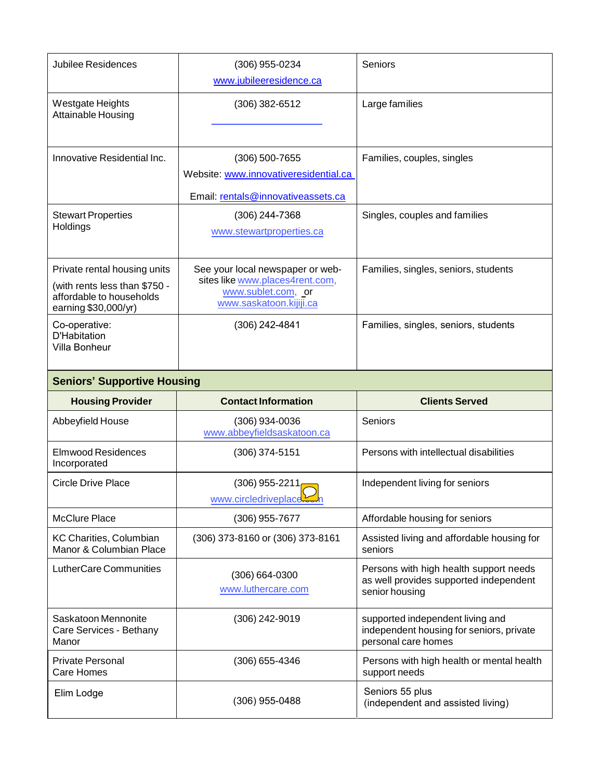| Jubilee Residences                                                                                                | $(306)$ 955-0234<br>www.jubileeresidence.ca                                                                          | Seniors                                                                                            |
|-------------------------------------------------------------------------------------------------------------------|----------------------------------------------------------------------------------------------------------------------|----------------------------------------------------------------------------------------------------|
| Westgate Heights<br><b>Attainable Housing</b>                                                                     | $(306)$ 382-6512                                                                                                     | Large families                                                                                     |
| Innovative Residential Inc.                                                                                       | $(306)$ 500-7655<br>Website: www.innovativeresidential.ca<br>Email: rentals@innovativeassets.ca                      | Families, couples, singles                                                                         |
| <b>Stewart Properties</b><br>Holdings                                                                             | (306) 244-7368<br>www.stewartproperties.ca                                                                           | Singles, couples and families                                                                      |
| Private rental housing units<br>(with rents less than \$750 -<br>affordable to households<br>earning \$30,000/yr) | See your local newspaper or web-<br>sites like www.places4rent.com,<br>www.sublet.com, or<br>www.saskatoon.kijiji.ca | Families, singles, seniors, students                                                               |
| Co-operative:<br><b>D'Habitation</b><br>Villa Bonheur                                                             | (306) 242-4841                                                                                                       | Families, singles, seniors, students                                                               |
| <b>Seniors' Supportive Housing</b>                                                                                |                                                                                                                      |                                                                                                    |
| <b>Housing Provider</b>                                                                                           | <b>Contact Information</b>                                                                                           | <b>Clients Served</b>                                                                              |
| Abbeyfield House                                                                                                  | $(306)$ 934-0036<br>www.abbeyfieldsaskatoon.ca                                                                       | Seniors                                                                                            |
| <b>Elmwood Residences</b><br>Incorporated                                                                         | $(306)$ 374-5151                                                                                                     | Persons with intellectual disabilities                                                             |
| <b>Circle Drive Place</b>                                                                                         | $(306)$ 955-2211<br>www.circledriveplace.                                                                            | Independent living for seniors                                                                     |
| <b>McClure Place</b>                                                                                              | (306) 955-7677                                                                                                       | Affordable housing for seniors                                                                     |
| KC Charities, Columbian<br>Manor & Columbian Place                                                                | (306) 373-8160 or (306) 373-8161                                                                                     | Assisted living and affordable housing for<br>seniors                                              |
| LutherCare Communities                                                                                            | $(306) 664 - 0300$<br>www.luthercare.com                                                                             | Persons with high health support needs<br>as well provides supported independent<br>senior housing |

|                                                         | www.luthercare.com | as well provides supported independent<br>senior housing                                            |
|---------------------------------------------------------|--------------------|-----------------------------------------------------------------------------------------------------|
| Saskatoon Mennonite<br>Care Services - Bethany<br>Manor | (306) 242-9019     | supported independent living and<br>independent housing for seniors, private<br>personal care homes |
| Private Personal<br>Care Homes                          | (306) 655-4346     | Persons with high health or mental health<br>support needs                                          |
| Elim Lodge                                              | (306) 955-0488     | Seniors 55 plus<br>(independent and assisted living)                                                |